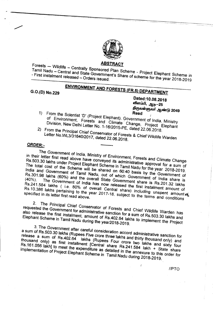

#### **ABSTRACT**

Famil Nadu – Central and State of **Plan** Scheme - Project Flext *Thire Central Manuversity State Government's Share of scheme for the State Scheme in* **- First instalment released - Orders issued.**

#### **--------------------------------------------------------------------------------------------------------------------- ENVIRONMENTAND FORESTS (FR.S) DEPARTMENT**

**G.O.(D) No.229**

**Dated:10.08.2018** விளம்பி, ஆடி**—2**5 ~~6lI6ir~6lJrr ~61in-(bl **2049 Read**

- of Environment C<sub>rip</sub> (Project Elephant). Government of *India, Ministry* Division New Dalt: Little and Climate Change, Project **Elephant Division, New Delhi Letter** *No. 1-16/2015-PE,* **dated 22.06.2018.**
- 2) From the Principal Chief Conservator of Forests & Chief *Wildlife* Warden **Letter No.WL3/31640/2017, dated 22.06.2018.**

**--------**

### **ORDER:.**

The Government of *India,* Ministry of Environment, Forests and Climate Change Rs.503.30 lakhs under Preject First Conveyed its administrative and Ullmate Change The total cost of the Sobernal Scheme in Tamil Nadu for the Year 2018 2019. Rs.503.30 lakhs under Project Elephant Scheme in Tamil Nadu for the year 2018-2019. The total cost of the Scheme will be shared on 60:40 basis by the Government of **India** and Government of *Tamil* Nadu, out of which Government of *India* share is Rs.301.98 lakhs (60%) and the overall State Government sha India and Government of Tamil Nadu, out of which Government of India share is Rs.301.98 lakhs (60%) and the overall State Government share is Rs.201.32 lakhs (40%). The Government of *India* has now released the first instalment amount of Rs.241.584 lakhs (i.e. 80% of overall Central share) includin Rs.10.386 lakhs pertaining to use of **overall** Central share) including amount of Rs.l0.386 lakhs pertaining to the year 2017-18. subject to the terms and conditions **specified in its letter first read above.**

 $2<sub>1</sub>$ 2. Alternative Conservator of Forests and Chief Wildlife Warden was ested the Government for extraction of Forests and Chief Wildlife Warden *Elephant* **Scheme in Tamil Nadu during the year2018-2019.** also release the first installation duministrative sanction for a sum of Rs.503.30 *lackhood* has Elephant Scheme in Tamil N<sub>2.4</sub> *installering* amount of Rs.402.64 lakhs to *implement* 30.30 lakhs and

3. The Government after careful consideration accord administrative sanction for release a sum of Rs.403.64 *in the Crore three-lakhs and thirty the sanction for* thousand only) as first instally lakhs (Rupees Four crore two latty sillows and only) and release a sum of Rs.402.64 *lakhs* (Rupees Four crore two lakhs and sixty four thousand only) as first installment [Central share Rs.241.584 *lakh* + State share Rs.161.056 *lakh*] to meet the expenditure as detailed in th thousand only) as first installment [Central share Rs.241.584 lakh + State share Rs.161.056 lakh] to meet the expenditure as detailed in the annexure to this order for

**//PTO**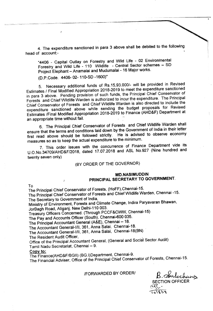4. The expenditure sanctioned in para 3 above shall be debited to the following head of account:-

"4406 - Capital Outlay on Forestry and Wild Life - 02 Environmental Forestry and Wild Life - 110 Wildlife - Central Sector schemes - SO Project Elephant - Anamalai and Mudumalai - 16 Major works.

(D.P.Code. 4406- 02-110-SD -1600)"

5. Necessary additional funds of *Rs.15,93,000/-* will be provided in Revised Estimates *I* Final Modified Appropriation 2018-2019 to meet the expenditure sanctioned in para 3 above. Pending provision of such funds, the Principal Chief Conservator of Forests and Chief Wildlife Warden is authorized to incur the expenditure. The Principal Chief Conservator 9f Forests and Chief Wildlife Warden is also directed to include the expenditure sanctioned above while sending the budget proposals for Revised Estimates /Final Modified Appropriation 2018-2019 to Finance (AHD&F) Department at an appropriate time without fail.

6. The Principal Chief Conservator of Forests and Chief Wildlife Warden shall ensure that the terms and conditions laid down by the Government of India in their letter first read above should be followed strictly. He is advised to observe economy measures so as to keep the actual expenditure to the minimum.

7. This order issues with the concurrence of Finance Department vide its U.O.No.34709/AHD&F/2018, dated 17.07.2018 and ASL No.927 (Nine hundred and twenty seven only)

#### (BY ORDER OF THE GOVERNOR)

#### **MD.NASIMUDDIN PRINCIPAL SECRETARY TO GOVERNMENT.**

To

The Principal Chief Conservator of Forests, (HoFF),Chennai-15.

The Principal Chief Conservator of Forests and Chief Wildlife Warden, Chennai -15. The Secretary to Government of India,

Ministry of Environment, Forests and Climate Change, Indira Paryavaran Bhawan, JorBagh Road, Aliganj, New Delhi-110 003.

Treasury Officers Concerned. (Through PCCF&CWW, Chennai-15)

The Pay and Accounts Officer (South), Chennai-600 035.

The Principal Accountant General (A&E), Chennai - 18.

The Accountant General-IIII, 361, Anna Salai, Chennai-18.

The Accountant General-IIII, 361, Anna Salai, Chennai-18(BN)

The Resident Audit Officer,

Office of the Principal Accountant General, (General and Social Sector Audit) Tamil Nadu Secretariat, Chennai - 9.

#### Copy to:

The Finance(AHD&F/BGII) (BG.I)Department, Chennai-9.

The Financial Adviser, Office of the Principal Chief Conservator of Forests, Chennai-15.

#### IFORWARDED BY ORDER! *B.~~*

SECTION OFFICER  $\tilde{\epsilon}$ 

~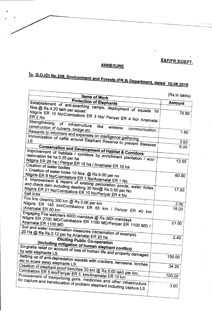## **g&F(FR.5)OEPT.**

.----\_.\_.\_\_.\_.\_ \_

## **ANNEXURE**

# to G.O.(D) No.229, Environment and Forests (FR.5) Department, dated 10.08.2018

-------------------------------------

 $\ddot{\cdot}$ 

| Items of Work                                                                                                                    | (Rs.in lakhs) |
|----------------------------------------------------------------------------------------------------------------------------------|---------------|
| <b>Protection of Elephants</b><br>Establishment of anti-poaching camps, deployment of squads 19                                  | <b>Amount</b> |
| Nos.@ Rs.4.20 lakh per squad                                                                                                     |               |
| Nilgiris ER 10 No/Coimbatore ER 3 No/ Periyar ER 4 No/ Anamalai                                                                  | 79.80         |
|                                                                                                                                  |               |
|                                                                                                                                  |               |
| Strengthening of infrastructure<br>like<br>wireless                                                                              |               |
| construction of culverts, bridge etc<br>communication,                                                                           | 7.80          |
| Rewards to informers and expenses on intelligence gathering                                                                      |               |
| Immunization of cattle around Elephant Reserve to prevent diseases                                                               | 3.50          |
|                                                                                                                                  |               |
| <b>Conservation and Development of Habitat &amp; Corridors</b>                                                                   | 6.00          |
| Improvement of habitats / corridors by enrichment plantation / eco-                                                              |               |
| restoration 54 ha 0.25 per ha                                                                                                    |               |
|                                                                                                                                  | 13.50         |
| Nilgiris ER 26 ha / Periyar ER 18 ha / Anamalai ER 10 ha<br><b>Creation of water bodies</b>                                      |               |
| i. Creation of water holes 10 Nos. @ Rs.6.00 per no                                                                              |               |
| Nilgiris ER 8 No/Coimbatore ER 1 No/Anamalai ER 1 No                                                                             | 60.00         |
|                                                                                                                                  |               |
| ii. Improvement & repairs of existing percolation ponds, water holes<br>and check dam including desilting 35 No/@ Rs.0.50 per No |               |
|                                                                                                                                  | 17.50         |
| Nilgiris ER 21 No/Coimbatore ER 10 No/Periyar ER 4 No                                                                            |               |
| Fire line clearing 300 km @ Rs.0.06 per km                                                                                       |               |
| Nilgiris ER 145 km/Coimbatore ER 65 km / Periyar ER 40 km                                                                        | 3.00          |
| /Anamalai ER 50 km                                                                                                               | 18.00         |
| Engaging Fire watchers 6000 mandays @ Rs.360/-mandays                                                                            |               |
| Nilgirs ER 2700 MD/Coimbatore ER 1100 MD/Periyar ER 1100 MD /                                                                    |               |
| Anamalai ER 1100 MD                                                                                                              | 21.60         |
|                                                                                                                                  |               |
| Soil and water conservation measures (reclamation of swamps)<br>20 Ha @ Rs.Rs.0.12 per ha Anamalai ER 20 ha                      |               |
|                                                                                                                                  | 2.40          |
| <b>Eliciting Public Co-operation</b>                                                                                             |               |
| (Including mitigation of human elephant conflict)                                                                                |               |
| Ex-gratia relief on account of loss of human life and property damaged                                                           |               |
|                                                                                                                                  |               |
|                                                                                                                                  | 100.00        |
| Setting up of anti-depredation squads with crackers, kerosene, torches<br>etc to scare away elephants LS                         |               |
|                                                                                                                                  | 34.20         |
| Creation of elephant proof trenches 20 km @ Rs.5.00 lakh per km.<br>Coimbatore ER 5 km/Periyar ER 5 km/Anamalai ER 10 km         |               |
| Procurement of tranquilizing guns, medicines and other infrastructure                                                            | 100.00        |
| for capture and translocation of problem elephant including capture LS                                                           |               |
|                                                                                                                                  | 3.00          |
|                                                                                                                                  |               |
|                                                                                                                                  |               |